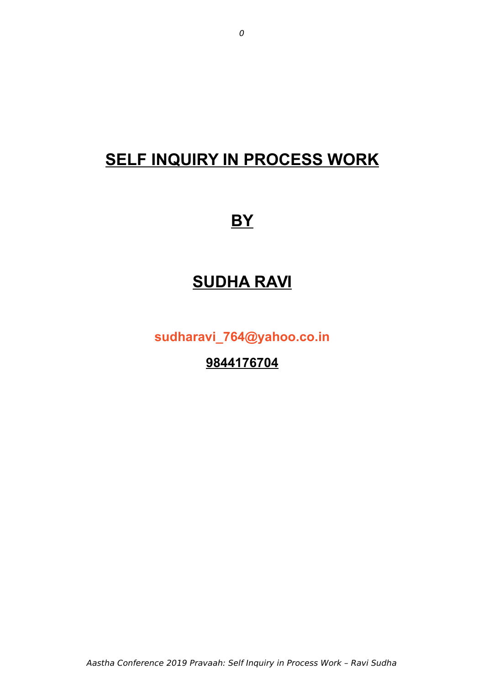# **SELF INQUIRY IN PROCESS WORK**

# **BY**

# **SUDHA RAVI**

**[sudharavi\\_764@yahoo.co.in](mailto:sudharavi_764@yahoo.co.in)**

**9844176704**

Aastha Conference 2019 Pravaah: Self Inquiry in Process Work – Ravi Sudha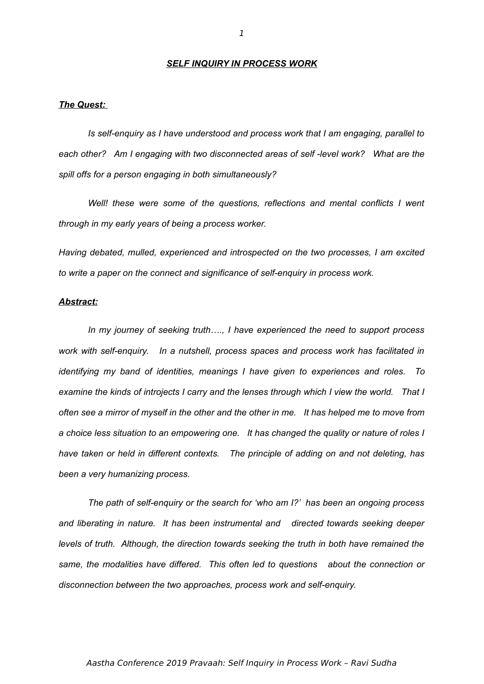#### *SELF INQUIRY IN PROCESS WORK*

# *The Quest:*

*Is self-enquiry as I have understood and process work that I am engaging, parallel to each other? Am I engaging with two disconnected areas of self -level work? What are the spill offs for a person engaging in both simultaneously?* 

*Well! these were some of the questions, reflections and mental conflicts I went through in my early years of being a process worker.*

*Having debated, mulled, experienced and introspected on the two processes, I am excited to write a paper on the connect and significance of self-enquiry in process work.*

## *Abstract:*

*In my journey of seeking truth…., I have experienced the need to support process work with self-enquiry. In a nutshell, process spaces and process work has facilitated in identifying my band of identities, meanings I have given to experiences and roles. To examine the kinds of introjects I carry and the lenses through which I view the world. That I often see a mirror of myself in the other and the other in me. It has helped me to move from a choice less situation to an empowering one. It has changed the quality or nature of roles I have taken or held in different contexts. The principle of adding on and not deleting, has been a very humanizing process.*

*The path of self-enquiry or the search for 'who am I?' has been an ongoing process and liberating in nature. It has been instrumental and directed towards seeking deeper levels of truth. Although, the direction towards seeking the truth in both have remained the same, the modalities have differed. This often led to questions about the connection or disconnection between the two approaches, process work and self-enquiry.*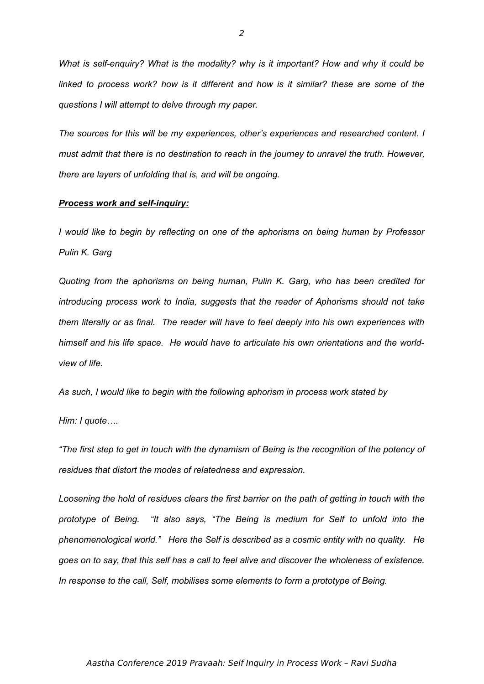*What is self-enquiry? What is the modality? why is it important? How and why it could be linked to process work? how is it different and how is it similar? these are some of the questions I will attempt to delve through my paper.* 

*The sources for this will be my experiences, other's experiences and researched content. I must admit that there is no destination to reach in the journey to unravel the truth. However, there are layers of unfolding that is, and will be ongoing.*

### *Process work and self-inquiry:*

*I would like to begin by reflecting on one of the aphorisms on being human by Professor Pulin K. Garg*

*Quoting from the aphorisms on being human, Pulin K. Garg, who has been credited for introducing process work to India, suggests that the reader of Aphorisms should not take them literally or as final. The reader will have to feel deeply into his own experiences with himself and his life space. He would have to articulate his own orientations and the worldview of life.*

*As such, I would like to begin with the following aphorism in process work stated by* 

*Him: I quote….*

*"The first step to get in touch with the dynamism of Being is the recognition of the potency of residues that distort the modes of relatedness and expression.*

*Loosening the hold of residues clears the first barrier on the path of getting in touch with the prototype of Being. "It also says, "The Being is medium for Self to unfold into the phenomenological world." Here the Self is described as a cosmic entity with no quality. He goes on to say, that this self has a call to feel alive and discover the wholeness of existence. In response to the call, Self, mobilises some elements to form a prototype of Being.*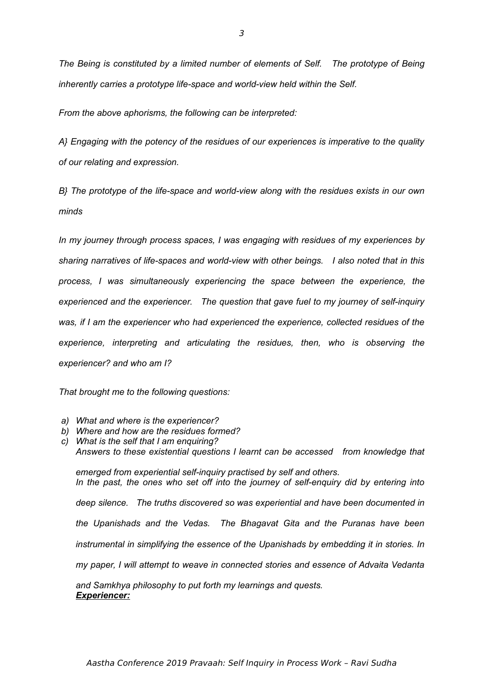*From the above aphorisms, the following can be interpreted:*

*A} Engaging with the potency of the residues of our experiences is imperative to the quality of our relating and expression.*

*B} The prototype of the life-space and world-view along with the residues exists in our own minds* 

*In my journey through process spaces, I was engaging with residues of my experiences by sharing narratives of life-spaces and world-view with other beings. I also noted that in this process, I was simultaneously experiencing the space between the experience, the experienced and the experiencer. The question that gave fuel to my journey of self-inquiry was, if I am the experiencer who had experienced the experience, collected residues of the experience, interpreting and articulating the residues, then, who is observing the experiencer? and who am I?*

*That brought me to the following questions:*

- *a) What and where is the experiencer?*
- *b) Where and how are the residues formed?*
- *c) What is the self that I am enquiring? Answers to these existential questions I learnt can be accessed from knowledge that emerged from experiential self-inquiry practised by self and others.*

*In the past, the ones who set off into the journey of self-enquiry did by entering into deep silence. The truths discovered so was experiential and have been documented in the Upanishads and the Vedas. The Bhagavat Gita and the Puranas have been instrumental in simplifying the essence of the Upanishads by embedding it in stories. In my paper, I will attempt to weave in connected stories and essence of Advaita Vedanta*

*and Samkhya philosophy to put forth my learnings and quests. Experiencer:*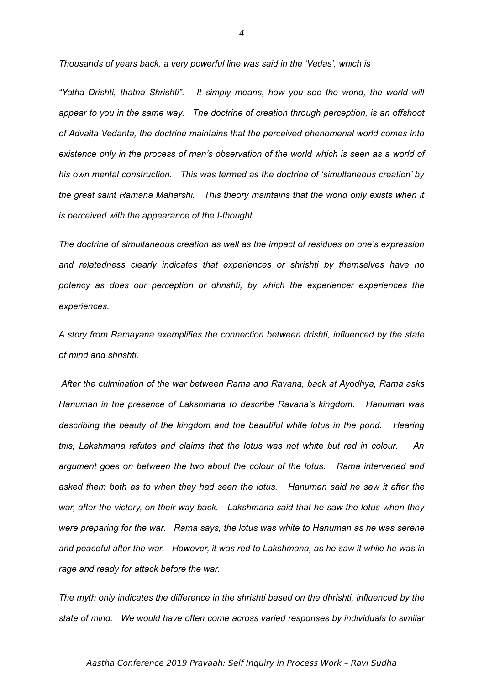*Thousands of years back, a very powerful line was said in the 'Vedas', which is*

*"Yatha Drishti, thatha Shrishti". It simply means, how you see the world, the world will appear to you in the same way. The doctrine of creation through perception, is an offshoot of Advaita Vedanta, the doctrine maintains that the perceived phenomenal world comes into existence only in the process of man's observation of the world which is seen as a world of his own mental construction. This was termed as the doctrine of 'simultaneous creation' by the great saint Ramana Maharshi. This theory maintains that the world only exists when it is perceived with the appearance of the I-thought.*

*The doctrine of simultaneous creation as well as the impact of residues on one's expression and relatedness clearly indicates that experiences or shrishti by themselves have no potency as does our perception or dhrishti, by which the experiencer experiences the experiences.*

*A story from Ramayana exemplifies the connection between drishti, influenced by the state of mind and shrishti.*

 *After the culmination of the war between Rama and Ravana, back at Ayodhya, Rama asks Hanuman in the presence of Lakshmana to describe Ravana's kingdom. Hanuman was describing the beauty of the kingdom and the beautiful white lotus in the pond. Hearing this, Lakshmana refutes and claims that the lotus was not white but red in colour. An argument goes on between the two about the colour of the lotus. Rama intervened and asked them both as to when they had seen the lotus. Hanuman said he saw it after the war, after the victory, on their way back. Lakshmana said that he saw the lotus when they were preparing for the war. Rama says, the lotus was white to Hanuman as he was serene and peaceful after the war. However, it was red to Lakshmana, as he saw it while he was in rage and ready for attack before the war.*

*The myth only indicates the difference in the shrishti based on the dhrishti, influenced by the state of mind. We would have often come across varied responses by individuals to similar*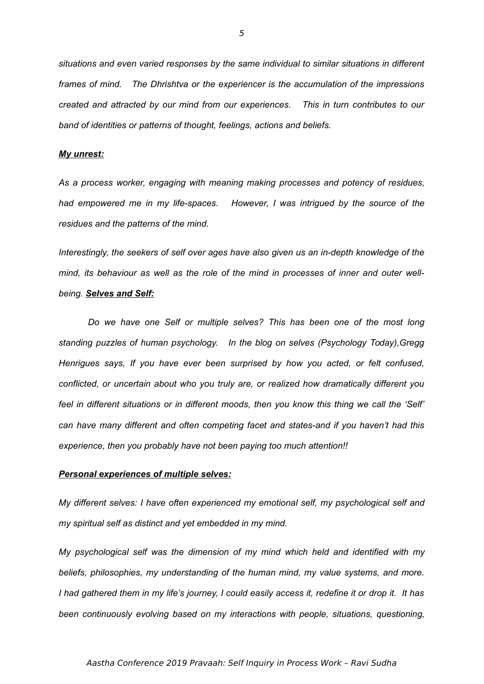*situations and even varied responses by the same individual to similar situations in different frames of mind. The Dhrishtva or the experiencer is the accumulation of the impressions created and attracted by our mind from our experiences. This in turn contributes to our band of identities or patterns of thought, feelings, actions and beliefs.*

## *My unrest:*

*As a process worker, engaging with meaning making processes and potency of residues, had empowered me in my life-spaces. However, I was intrigued by the source of the residues and the patterns of the mind.* 

*Interestingly, the seekers of self over ages have also given us an in-depth knowledge of the mind, its behaviour as well as the role of the mind in processes of inner and outer wellbeing. Selves and Self:*

*Do we have one Self or multiple selves? This has been one of the most long standing puzzles of human psychology. In the blog on selves (Psychology Today),Gregg Henrigues says, If you have ever been surprised by how you acted, or felt confused, conflicted, or uncertain about who you truly are, or realized how dramatically different you feel in different situations or in different moods, then you know this thing we call the 'Self' can have many different and often competing facet and states-and if you haven't had this experience, then you probably have not been paying too much attention!!*

### *Personal experiences of multiple selves:*

*My different selves: I have often experienced my emotional self, my psychological self and my spiritual self as distinct and yet embedded in my mind.*

*My psychological self was the dimension of my mind which held and identified with my beliefs, philosophies, my understanding of the human mind, my value systems, and more. I had gathered them in my life's journey, I could easily access it, redefine it or drop it. It has been continuously evolving based on my interactions with people, situations, questioning,*

5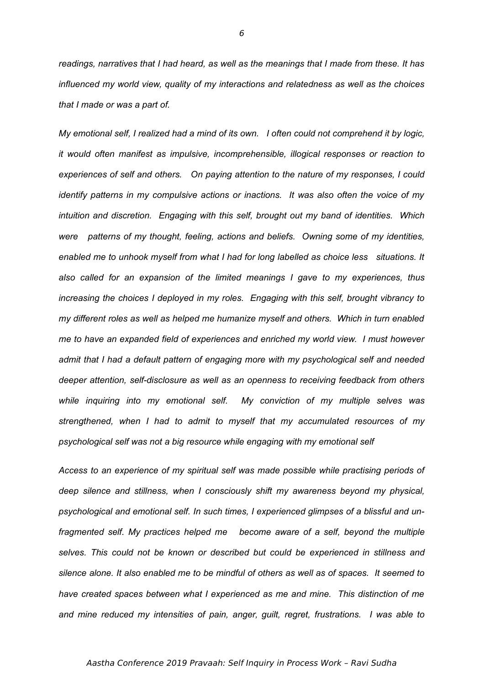*readings, narratives that I had heard, as well as the meanings that I made from these. It has influenced my world view, quality of my interactions and relatedness as well as the choices that I made or was a part of.*

*My emotional self, I realized had a mind of its own. I often could not comprehend it by logic, it would often manifest as impulsive, incomprehensible, illogical responses or reaction to experiences of self and others. On paying attention to the nature of my responses, I could identify patterns in my compulsive actions or inactions. It was also often the voice of my intuition and discretion. Engaging with this self, brought out my band of identities. Which were patterns of my thought, feeling, actions and beliefs. Owning some of my identities, enabled me to unhook myself from what I had for long labelled as choice less situations. It also called for an expansion of the limited meanings I gave to my experiences, thus increasing the choices I deployed in my roles. Engaging with this self, brought vibrancy to my different roles as well as helped me humanize myself and others. Which in turn enabled me to have an expanded field of experiences and enriched my world view. I must however admit that I had a default pattern of engaging more with my psychological self and needed deeper attention, self-disclosure as well as an openness to receiving feedback from others while inquiring into my emotional self. My conviction of my multiple selves was strengthened, when I had to admit to myself that my accumulated resources of my psychological self was not a big resource while engaging with my emotional self*

*Access to an experience of my spiritual self was made possible while practising periods of deep silence and stillness, when I consciously shift my awareness beyond my physical, psychological and emotional self. In such times, I experienced glimpses of a blissful and unfragmented self. My practices helped me become aware of a self, beyond the multiple selves. This could not be known or described but could be experienced in stillness and silence alone. It also enabled me to be mindful of others as well as of spaces. It seemed to have created spaces between what I experienced as me and mine. This distinction of me and mine reduced my intensities of pain, anger, guilt, regret, frustrations. I was able to*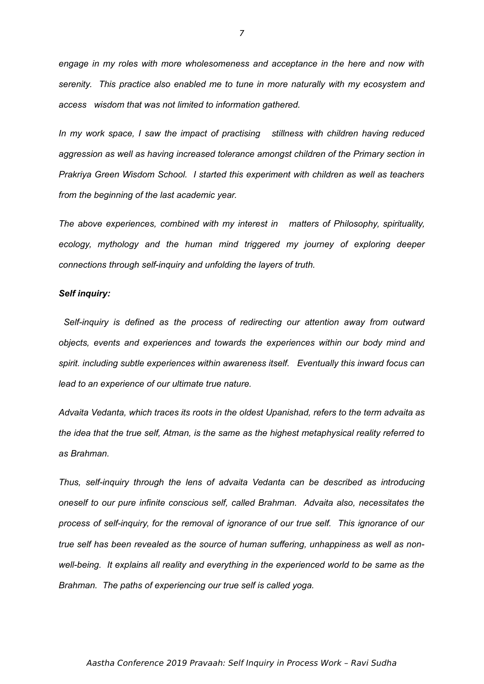*engage in my roles with more wholesomeness and acceptance in the here and now with serenity. This practice also enabled me to tune in more naturally with my ecosystem and access wisdom that was not limited to information gathered.*

*In my work space, I saw the impact of practising stillness with children having reduced aggression as well as having increased tolerance amongst children of the Primary section in Prakriya Green Wisdom School. I started this experiment with children as well as teachers from the beginning of the last academic year.*

*The above experiences, combined with my interest in matters of Philosophy, spirituality, ecology, mythology and the human mind triggered my journey of exploring deeper connections through self-inquiry and unfolding the layers of truth.*

### *Self inquiry:*

 *Self-inquiry is defined as the process of redirecting our attention away from outward objects, events and experiences and towards the experiences within our body mind and spirit. including subtle experiences within awareness itself. Eventually this inward focus can lead to an experience of our ultimate true nature.*

*Advaita Vedanta, which traces its roots in the oldest Upanishad, refers to the term advaita as the idea that the true self, Atman, is the same as the highest metaphysical reality referred to as Brahman.* 

*Thus, self-inquiry through the lens of advaita Vedanta can be described as introducing oneself to our pure infinite conscious self, called Brahman. Advaita also, necessitates the process of self-inquiry, for the removal of ignorance of our true self. This ignorance of our true self has been revealed as the source of human suffering, unhappiness as well as nonwell-being. It explains all reality and everything in the experienced world to be same as the Brahman. The paths of experiencing our true self is called yoga.*

7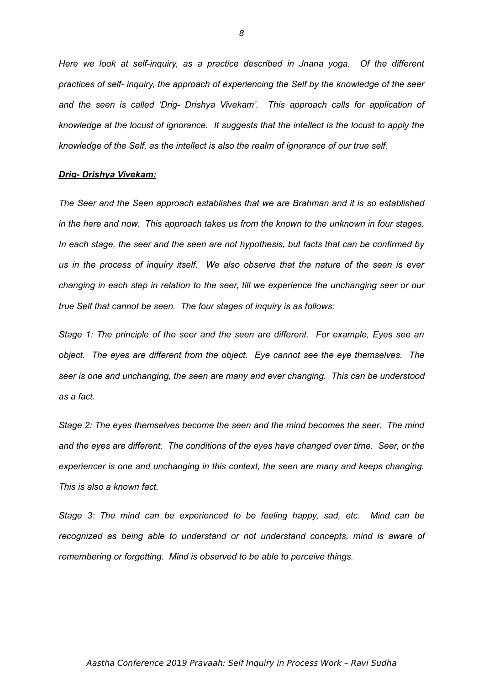*Here we look at self-inquiry, as a practice described in Jnana yoga. Of the different practices of self- inquiry, the approach of experiencing the Self by the knowledge of the seer and the seen is called 'Drig- Drishya Vivekam'. This approach calls for application of knowledge at the locust of ignorance. It suggests that the intellect is the locust to apply the knowledge of the Self, as the intellect is also the realm of ignorance of our true self.*

#### *Drig- Drishya Vivekam:*

*The Seer and the Seen approach establishes that we are Brahman and it is so established in the here and now. This approach takes us from the known to the unknown in four stages. In each stage, the seer and the seen are not hypothesis, but facts that can be confirmed by us in the process of inquiry itself. We also observe that the nature of the seen is ever changing in each step in relation to the seer, till we experience the unchanging seer or our true Self that cannot be seen. The four stages of inquiry is as follows:*

*Stage 1: The principle of the seer and the seen are different. For example, Eyes see an object. The eyes are different from the object. Eye cannot see the eye themselves. The seer is one and unchanging, the seen are many and ever changing. This can be understood as a fact.*

*Stage 2: The eyes themselves become the seen and the mind becomes the seer. The mind and the eyes are different. The conditions of the eyes have changed over time. Seer, or the experiencer is one and unchanging in this context, the seen are many and keeps changing. This is also a known fact.*

*Stage 3: The mind can be experienced to be feeling happy, sad, etc. Mind can be recognized as being able to understand or not understand concepts, mind is aware of remembering or forgetting. Mind is observed to be able to perceive things.*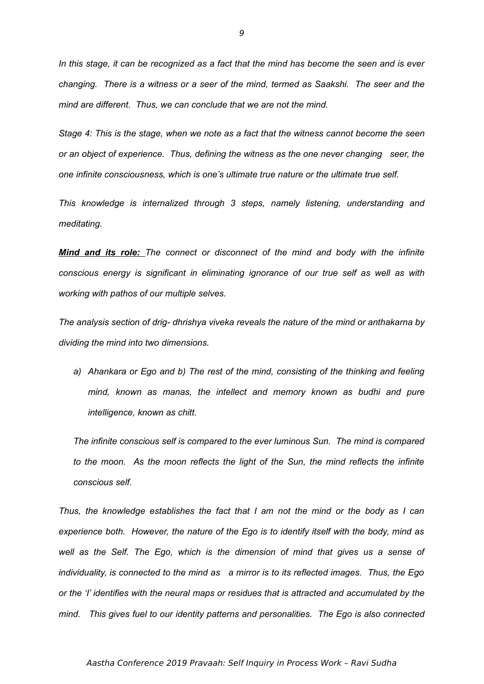*In this stage, it can be recognized as a fact that the mind has become the seen and is ever changing. There is a witness or a seer of the mind, termed as Saakshi. The seer and the mind are different. Thus, we can conclude that we are not the mind.*

*Stage 4: This is the stage, when we note as a fact that the witness cannot become the seen or an object of experience. Thus, defining the witness as the one never changing seer, the one infinite consciousness, which is one's ultimate true nature or the ultimate true self.*

*This knowledge is internalized through 3 steps, namely listening, understanding and meditating.*

*Mind and its role: The connect or disconnect of the mind and body with the infinite conscious energy is significant in eliminating ignorance of our true self as well as with working with pathos of our multiple selves.* 

*The analysis section of drig- dhrishya viveka reveals the nature of the mind or anthakarna by dividing the mind into two dimensions.* 

*a) Ahankara or Ego and b) The rest of the mind, consisting of the thinking and feeling mind, known as manas, the intellect and memory known as budhi and pure intelligence, known as chitt.*

*The infinite conscious self is compared to the ever luminous Sun. The mind is compared to the moon. As the moon reflects the light of the Sun, the mind reflects the infinite conscious self.*

*Thus, the knowledge establishes the fact that I am not the mind or the body as I can experience both. However, the nature of the Ego is to identify itself with the body, mind as well as the Self. The Ego, which is the dimension of mind that gives us a sense of individuality, is connected to the mind as a mirror is to its reflected images. Thus, the Ego or the 'I' identifies with the neural maps or residues that is attracted and accumulated by the mind. This gives fuel to our identity patterns and personalities. The Ego is also connected*

#### Aastha Conference 2019 Pravaah: Self Inquiry in Process Work – Ravi Sudha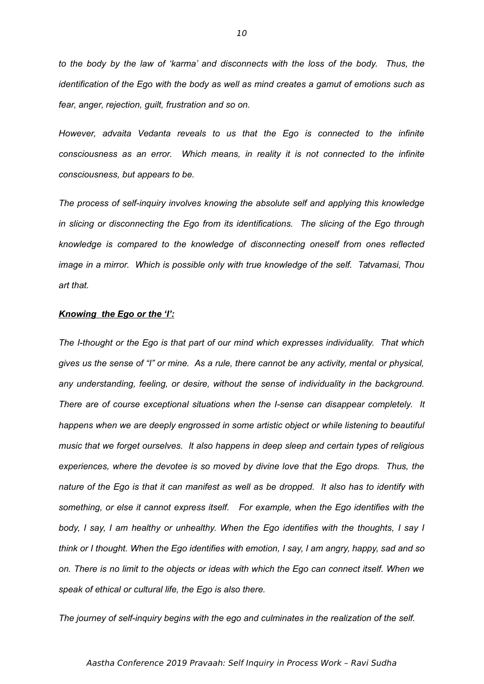*to the body by the law of 'karma' and disconnects with the loss of the body. Thus, the identification of the Ego with the body as well as mind creates a gamut of emotions such as fear, anger, rejection, guilt, frustration and so on.* 

*However, advaita Vedanta reveals to us that the Ego is connected to the infinite consciousness as an error. Which means, in reality it is not connected to the infinite consciousness, but appears to be.*

*The process of self-inquiry involves knowing the absolute self and applying this knowledge in slicing or disconnecting the Ego from its identifications. The slicing of the Ego through knowledge is compared to the knowledge of disconnecting oneself from ones reflected image in a mirror. Which is possible only with true knowledge of the self. Tatvamasi, Thou art that.*

## *Knowing the Ego or the 'I':*

*The I-thought or the Ego is that part of our mind which expresses individuality. That which gives us the sense of "I" or mine. As a rule, there cannot be any activity, mental or physical, any understanding, feeling, or desire, without the sense of individuality in the background. There are of course exceptional situations when the I-sense can disappear completely. It happens when we are deeply engrossed in some artistic object or while listening to beautiful music that we forget ourselves. It also happens in deep sleep and certain types of religious experiences, where the devotee is so moved by divine love that the Ego drops. Thus, the nature of the Ego is that it can manifest as well as be dropped. It also has to identify with something, or else it cannot express itself. For example, when the Ego identifies with the body, I say, I am healthy or unhealthy. When the Ego identifies with the thoughts, I say I think or I thought. When the Ego identifies with emotion, I say, I am angry, happy, sad and so on. There is no limit to the objects or ideas with which the Ego can connect itself. When we speak of ethical or cultural life, the Ego is also there.*

*The journey of self-inquiry begins with the ego and culminates in the realization of the self.*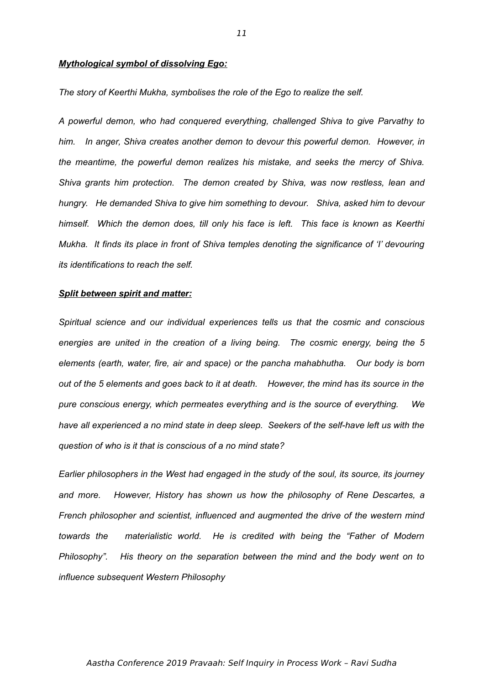### *Mythological symbol of dissolving Ego:*

*The story of Keerthi Mukha, symbolises the role of the Ego to realize the self.*

*A powerful demon, who had conquered everything, challenged Shiva to give Parvathy to him. In anger, Shiva creates another demon to devour this powerful demon. However, in the meantime, the powerful demon realizes his mistake, and seeks the mercy of Shiva. Shiva grants him protection. The demon created by Shiva, was now restless, lean and hungry. He demanded Shiva to give him something to devour. Shiva, asked him to devour himself. Which the demon does, till only his face is left. This face is known as Keerthi Mukha. It finds its place in front of Shiva temples denoting the significance of 'I' devouring its identifications to reach the self.*

#### *Split between spirit and matter:*

*Spiritual science and our individual experiences tells us that the cosmic and conscious energies are united in the creation of a living being. The cosmic energy, being the 5 elements (earth, water, fire, air and space) or the pancha mahabhutha. Our body is born out of the 5 elements and goes back to it at death. However, the mind has its source in the pure conscious energy, which permeates everything and is the source of everything. We have all experienced a no mind state in deep sleep. Seekers of the self-have left us with the question of who is it that is conscious of a no mind state?*

*Earlier philosophers in the West had engaged in the study of the soul, its source, its journey and more. However, History has shown us how the philosophy of Rene Descartes, a French philosopher and scientist, influenced and augmented the drive of the western mind towards the materialistic world. He is credited with being the "Father of Modern Philosophy". His theory on the separation between the mind and the body went on to influence subsequent Western Philosophy*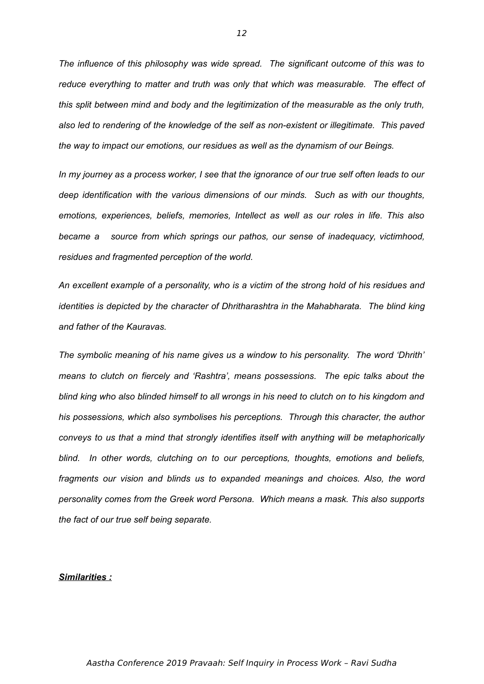*The influence of this philosophy was wide spread. The significant outcome of this was to reduce everything to matter and truth was only that which was measurable. The effect of this split between mind and body and the legitimization of the measurable as the only truth, also led to rendering of the knowledge of the self as non-existent or illegitimate. This paved the way to impact our emotions, our residues as well as the dynamism of our Beings.*

*In my journey as a process worker, I see that the ignorance of our true self often leads to our deep identification with the various dimensions of our minds. Such as with our thoughts, emotions, experiences, beliefs, memories, Intellect as well as our roles in life. This also became a source from which springs our pathos, our sense of inadequacy, victimhood, residues and fragmented perception of the world.*

*An excellent example of a personality, who is a victim of the strong hold of his residues and identities is depicted by the character of Dhritharashtra in the Mahabharata. The blind king and father of the Kauravas.*

*The symbolic meaning of his name gives us a window to his personality. The word 'Dhrith' means to clutch on fiercely and 'Rashtra', means possessions. The epic talks about the blind king who also blinded himself to all wrongs in his need to clutch on to his kingdom and his possessions, which also symbolises his perceptions. Through this character, the author conveys to us that a mind that strongly identifies itself with anything will be metaphorically blind. In other words, clutching on to our perceptions, thoughts, emotions and beliefs, fragments our vision and blinds us to expanded meanings and choices. Also, the word personality comes from the Greek word Persona. Which means a mask. This also supports the fact of our true self being separate.* 

# *Similarities :*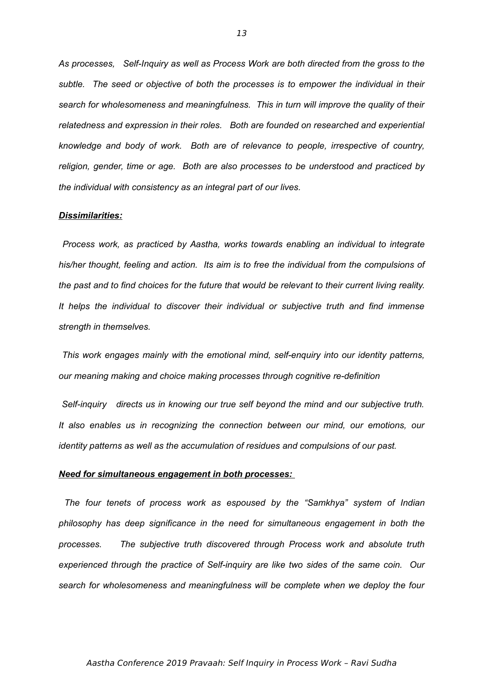*As processes, Self-Inquiry as well as Process Work are both directed from the gross to the subtle. The seed or objective of both the processes is to empower the individual in their search for wholesomeness and meaningfulness. This in turn will improve the quality of their relatedness and expression in their roles. Both are founded on researched and experiential knowledge and body of work. Both are of relevance to people, irrespective of country, religion, gender, time or age. Both are also processes to be understood and practiced by the individual with consistency as an integral part of our lives.* 

#### *Dissimilarities:*

 *Process work, as practiced by Aastha, works towards enabling an individual to integrate his/her thought, feeling and action. Its aim is to free the individual from the compulsions of the past and to find choices for the future that would be relevant to their current living reality. It helps the individual to discover their individual or subjective truth and find immense strength in themselves.*

 *This work engages mainly with the emotional mind, self-enquiry into our identity patterns, our meaning making and choice making processes through cognitive re-definition*

 *Self-inquiry directs us in knowing our true self beyond the mind and our subjective truth. It also enables us in recognizing the connection between our mind, our emotions, our identity patterns as well as the accumulation of residues and compulsions of our past.*

### *Need for simultaneous engagement in both processes:*

 *The four tenets of process work as espoused by the "Samkhya" system of Indian philosophy has deep significance in the need for simultaneous engagement in both the processes. The subjective truth discovered through Process work and absolute truth experienced through the practice of Self-inquiry are like two sides of the same coin. Our search for wholesomeness and meaningfulness will be complete when we deploy the four*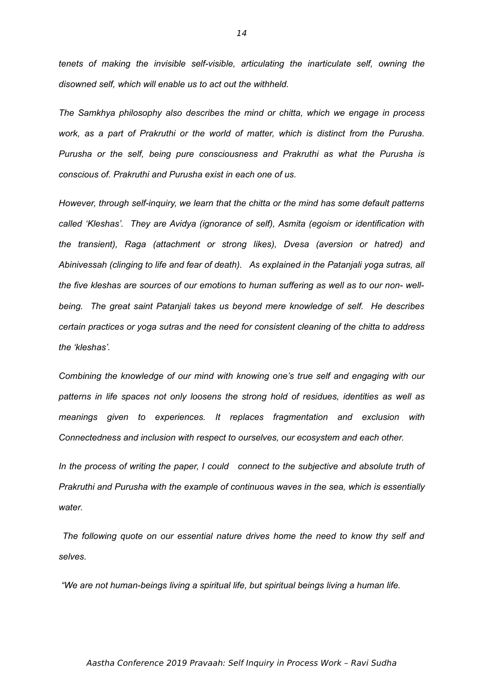*tenets of making the invisible self-visible, articulating the inarticulate self, owning the disowned self, which will enable us to act out the withheld.* 

*The Samkhya philosophy also describes the mind or chitta, which we engage in process work, as a part of Prakruthi or the world of matter, which is distinct from the Purusha. Purusha or the self, being pure consciousness and Prakruthi as what the Purusha is conscious of. Prakruthi and Purusha exist in each one of us.* 

*However, through self-inquiry, we learn that the chitta or the mind has some default patterns called 'Kleshas'. They are Avidya (ignorance of self), Asmita (egoism or identification with the transient), Raga (attachment or strong likes), Dvesa (aversion or hatred) and Abinivessah (clinging to life and fear of death). As explained in the Patanjali yoga sutras, all the five kleshas are sources of our emotions to human suffering as well as to our non- wellbeing. The great saint Patanjali takes us beyond mere knowledge of self. He describes certain practices or yoga sutras and the need for consistent cleaning of the chitta to address the 'kleshas'.* 

*Combining the knowledge of our mind with knowing one's true self and engaging with our patterns in life spaces not only loosens the strong hold of residues, identities as well as meanings given to experiences. It replaces fragmentation and exclusion with Connectedness and inclusion with respect to ourselves, our ecosystem and each other.*

*In the process of writing the paper, I could connect to the subjective and absolute truth of Prakruthi and Purusha with the example of continuous waves in the sea, which is essentially water.*

 *The following quote on our essential nature drives home the need to know thy self and selves.*

 *"We are not human-beings living a spiritual life, but spiritual beings living a human life.*